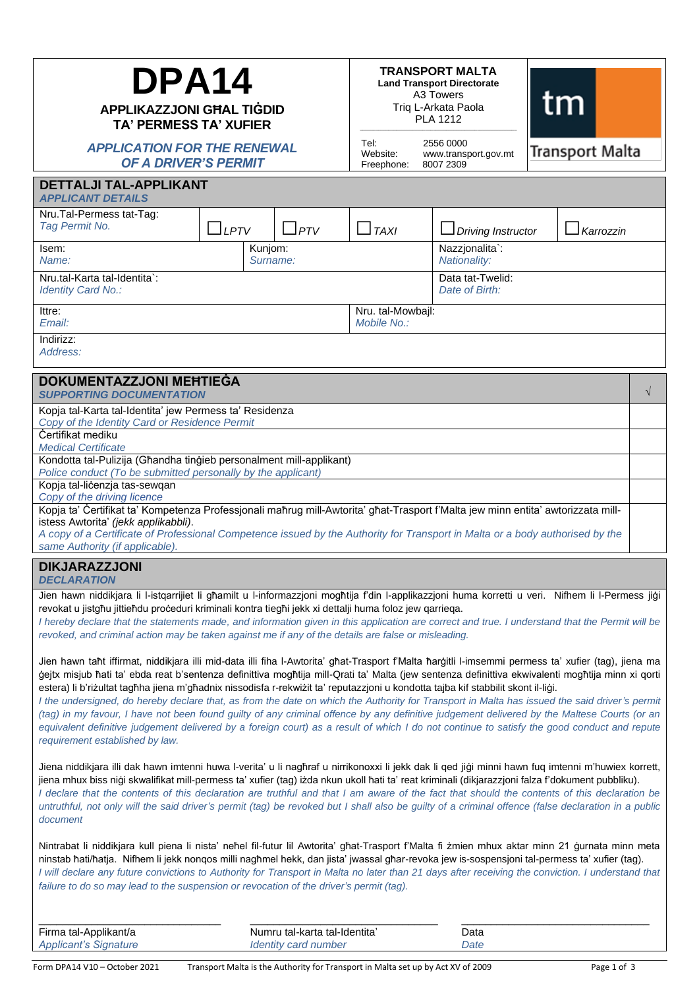| DPA14<br><b>APPLIKAZZJONI GHAL TIGDID</b><br><b>TA' PERMESS TA' XUFIER</b>                                                                                                                                                                                                                                                                                                                                                                                                                                                                                                                                                                                                                                                                                                                                                                                                                                                      |                                                       |                                    | <b>TRANSPORT MALTA</b><br><b>Land Transport Directorate</b><br>A3 Towers<br>tm<br>Triq L-Arkata Paola<br><b>PLA 1212</b> |                                                |  |                 |           |  |
|---------------------------------------------------------------------------------------------------------------------------------------------------------------------------------------------------------------------------------------------------------------------------------------------------------------------------------------------------------------------------------------------------------------------------------------------------------------------------------------------------------------------------------------------------------------------------------------------------------------------------------------------------------------------------------------------------------------------------------------------------------------------------------------------------------------------------------------------------------------------------------------------------------------------------------|-------------------------------------------------------|------------------------------------|--------------------------------------------------------------------------------------------------------------------------|------------------------------------------------|--|-----------------|-----------|--|
| <b>APPLICATION FOR THE RENEWAL</b><br><b>OF A DRIVER'S PERMIT</b>                                                                                                                                                                                                                                                                                                                                                                                                                                                                                                                                                                                                                                                                                                                                                                                                                                                               |                                                       |                                    | Tel:<br>Website:<br>Freephone:                                                                                           | 2556 0000<br>www.transport.gov.mt<br>8007 2309 |  | Transport Malta |           |  |
| <b>DETTALJI TAL-APPLIKANT</b><br><b>APPLICANT DETAILS</b>                                                                                                                                                                                                                                                                                                                                                                                                                                                                                                                                                                                                                                                                                                                                                                                                                                                                       |                                                       |                                    |                                                                                                                          |                                                |  |                 |           |  |
| Nru.Tal-Permess tat-Tag:<br>Tag Permit No.                                                                                                                                                                                                                                                                                                                                                                                                                                                                                                                                                                                                                                                                                                                                                                                                                                                                                      | $\Box$ LPTV                                           | $\Box$ PTV                         | $\Box$ TAXI                                                                                                              | $\Box$ Driving Instructor                      |  | Karrozzin       |           |  |
| Isem:<br>Kunjom:<br>Name:<br>Surname:                                                                                                                                                                                                                                                                                                                                                                                                                                                                                                                                                                                                                                                                                                                                                                                                                                                                                           |                                                       |                                    |                                                                                                                          | Nazzjonalita`:<br>Nationality:                 |  |                 |           |  |
| Nru.tal-Karta tal-Identita`:<br>Identity Card No.:                                                                                                                                                                                                                                                                                                                                                                                                                                                                                                                                                                                                                                                                                                                                                                                                                                                                              |                                                       | Data tat-Twelid:<br>Date of Birth: |                                                                                                                          |                                                |  |                 |           |  |
| Ittre:<br>Fmail:                                                                                                                                                                                                                                                                                                                                                                                                                                                                                                                                                                                                                                                                                                                                                                                                                                                                                                                | Nru. tal-Mowbajl:<br>Mobile No.:                      |                                    |                                                                                                                          |                                                |  |                 |           |  |
| Indirizz:<br>Address:                                                                                                                                                                                                                                                                                                                                                                                                                                                                                                                                                                                                                                                                                                                                                                                                                                                                                                           |                                                       |                                    |                                                                                                                          |                                                |  |                 |           |  |
| <b>DOKUMENTAZZJONI MEHTIEGA</b><br><b>SUPPORTING DOCUMENTATION</b>                                                                                                                                                                                                                                                                                                                                                                                                                                                                                                                                                                                                                                                                                                                                                                                                                                                              |                                                       |                                    |                                                                                                                          |                                                |  |                 | $\sqrt{}$ |  |
| Kopja tal-Karta tal-Identita' jew Permess ta' Residenza<br>Copy of the Identity Card or Residence Permit                                                                                                                                                                                                                                                                                                                                                                                                                                                                                                                                                                                                                                                                                                                                                                                                                        |                                                       |                                    |                                                                                                                          |                                                |  |                 |           |  |
| <b>Certifikat mediku</b><br><b>Medical Certificate</b>                                                                                                                                                                                                                                                                                                                                                                                                                                                                                                                                                                                                                                                                                                                                                                                                                                                                          |                                                       |                                    |                                                                                                                          |                                                |  |                 |           |  |
| Kondotta tal-Pulizija (Għandha tinġieb personalment mill-applikant)<br>Police conduct (To be submitted personally by the applicant)                                                                                                                                                                                                                                                                                                                                                                                                                                                                                                                                                                                                                                                                                                                                                                                             |                                                       |                                    |                                                                                                                          |                                                |  |                 |           |  |
| Kopja tal-licenzja tas-sewqan<br>Copy of the driving licence                                                                                                                                                                                                                                                                                                                                                                                                                                                                                                                                                                                                                                                                                                                                                                                                                                                                    |                                                       |                                    |                                                                                                                          |                                                |  |                 |           |  |
| Kopja ta' Certifikat ta' Kompetenza Professjonali maħrug mill-Awtorita' għat-Trasport f'Malta jew minn entita' awtorizzata mill-<br>istess Awtorita' (jekk applikabbli).<br>A copy of a Certificate of Professional Competence issued by the Authority for Transport in Malta or a body authorised by the<br>same Authority (if applicable).                                                                                                                                                                                                                                                                                                                                                                                                                                                                                                                                                                                    |                                                       |                                    |                                                                                                                          |                                                |  |                 |           |  |
| <b>DIKJARAZZJONI</b><br><b>DECLARATION</b>                                                                                                                                                                                                                                                                                                                                                                                                                                                                                                                                                                                                                                                                                                                                                                                                                                                                                      |                                                       |                                    |                                                                                                                          |                                                |  |                 |           |  |
| Jien hawn niddikjara li l-istqarrijiet li ghamilt u l-informazzjoni moghtija f'din l-applikazzjoni huma korretti u veri. Nifhem li l-Permess jiği<br>revokat u jistgħu jittieħdu proceduri kriminali kontra tiegħi jekk xi dettalji huma foloz jew qarrieqa.<br>I hereby declare that the statements made, and information given in this application are correct and true. I understand that the Permit will be<br>revoked, and criminal action may be taken against me if any of the details are false or misleading.                                                                                                                                                                                                                                                                                                                                                                                                          |                                                       |                                    |                                                                                                                          |                                                |  |                 |           |  |
| Jien hawn taht iffirmat, niddikjara illi mid-data illi fiha I-Awtorita' għat-Trasport f'Malta ħarġitli I-imsemmi permess ta' xufier (tag), jiena ma<br>gejtx misjub ħati ta' ebda reat b'sentenza definittiva mogħtija mill-Qrati ta' Malta (jew sentenza definittiva ekwivalenti mogħtija minn xi qorti<br>estera) li b'riżultat tagħha jiena m'għadnix nissodisfa r-rekwiżit ta' reputazzjoni u kondotta tajba kif stabbilit skont il-liġi.<br>I the undersigned, do hereby declare that, as from the date on which the Authority for Transport in Malta has issued the said driver's permit<br>(tag) in my favour, I have not been found guilty of any criminal offence by any definitive judgement delivered by the Maltese Courts (or an<br>equivalent definitive judgement delivered by a foreign court) as a result of which I do not continue to satisfy the good conduct and repute<br>requirement established by law. |                                                       |                                    |                                                                                                                          |                                                |  |                 |           |  |
| Jiena niddikjara illi dak hawn imtenni huwa I-verita' u li naghraf u nirrikonoxxi li jekk dak li qed jigi minni hawn fuq imtenni m'huwiex korrett,<br>jiena mhux biss niģi skwalifikat mill-permess ta' xufier (tag) izda nkun ukoll ħati ta' reat kriminali (dikjarazzjoni falza f'dokument pubbliku).<br>I declare that the contents of this declaration are truthful and that I am aware of the fact that should the contents of this declaration be<br>untruthful, not only will the said driver's permit (tag) be revoked but I shall also be guilty of a criminal offence (false declaration in a public<br>document                                                                                                                                                                                                                                                                                                      |                                                       |                                    |                                                                                                                          |                                                |  |                 |           |  |
| Nintrabat li niddikjara kull piena li nista' nehel fil-futur lil Awtorita' ghat-Trasport f'Malta fi zmien mhux aktar minn 21 gurnata minn meta<br>ninstab ħati/ħatja. Nifhem li jekk nonqos milli nagħmel hekk, dan jista' jwassal għar-revoka jew is-sospensjoni tal-permess ta' xufier (tag).<br>I will declare any future convictions to Authority for Transport in Malta no later than 21 days after receiving the conviction. I understand that<br>failure to do so may lead to the suspension or revocation of the driver's permit (tag).                                                                                                                                                                                                                                                                                                                                                                                 |                                                       |                                    |                                                                                                                          |                                                |  |                 |           |  |
| Firma tal-Applikant/a<br><b>Applicant's Signature</b>                                                                                                                                                                                                                                                                                                                                                                                                                                                                                                                                                                                                                                                                                                                                                                                                                                                                           | Numru tal-karta tal-Identita'<br>Identity card number |                                    |                                                                                                                          | Data<br>Date                                   |  |                 |           |  |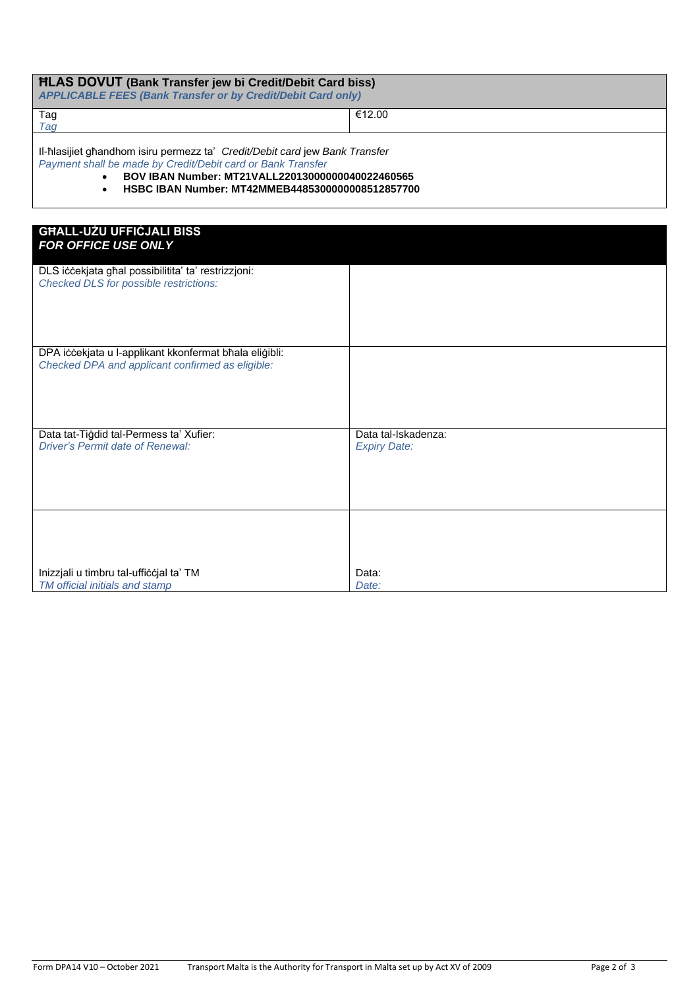| <b>HLAS DOVUT</b> (Bank Transfer jew bi Credit/Debit Card biss)<br><b>APPLICABLE FEES (Bank Transfer or by Credit/Debit Card only)</b>     |        |  |  |  |  |  |
|--------------------------------------------------------------------------------------------------------------------------------------------|--------|--|--|--|--|--|
| Tag                                                                                                                                        | €12.00 |  |  |  |  |  |
| Tag                                                                                                                                        |        |  |  |  |  |  |
| II-hlasijiet ghandhom isiru permezz ta' Credit/Debit card jew Bank Transfer<br>Payment shall be made by Credit/Debit card or Bank Transfer |        |  |  |  |  |  |
| BOV IBAN Number: MT21VALL22013000000040022460565<br>$\bullet$                                                                              |        |  |  |  |  |  |
| HSBC IBAN Number: MT42MMEB4485300000008512857700                                                                                           |        |  |  |  |  |  |

| <b>GHALL-UŻU UFFICJALI BISS</b><br>FOR OFFICE USE ONLY                                                     |                                            |
|------------------------------------------------------------------------------------------------------------|--------------------------------------------|
| DLS iccekjata għal possibilitita' ta' restrizzjoni:<br>Checked DLS for possible restrictions:              |                                            |
| DPA iccekjata u I-applikant kkonfermat bħala eliġibli:<br>Checked DPA and applicant confirmed as eligible: |                                            |
| Data tat-Tigdid tal-Permess ta' Xufier:<br><b>Driver's Permit date of Renewal:</b>                         | Data tal-Iskadenza:<br><b>Expiry Date:</b> |
| Inizzjali u timbru tal-ufficcjal ta' TM<br>TM official initials and stamp                                  | Data:<br>Date:                             |